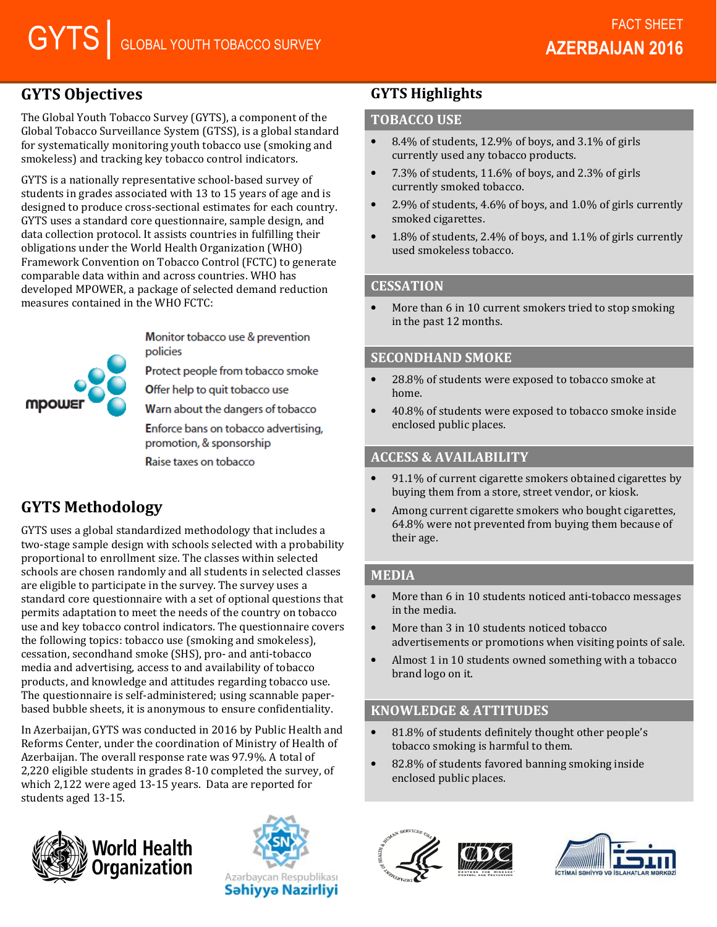# GYTS Objectives

The Global Youth Tobacco Survey (GYTS), a component of the Global Tobacco Surveillance System (GTSS), is a global standard for systematically monitoring youth tobacco use (smoking and smokeless) and tracking key tobacco control indicators.

GYTS is a nationally representative school-based survey of students in grades associated with 13 to 15 years of age and is designed to produce cross-sectional estimates for each country. GYTS uses a standard core questionnaire, sample design, and data collection protocol. It assists countries in fulfilling their obligations under the World Health Organization (WHO) Framework Convention on Tobacco Control (FCTC) to generate comparable data within and across countries. WHO has developed MPOWER, a package of selected demand reduction measures contained in the WHO FCTC:

**MDOW!** 

Monitor tobacco use & prevention policies

Protect people from tobacco smoke

Offer help to quit tobacco use

Warn about the dangers of tobacco

Enforce bans on tobacco advertising, promotion, & sponsorship

Raise taxes on tobacco

# GYTS Methodology

GYTS uses a global standardized methodology that includes a two-stage sample design with schools selected with a probability proportional to enrollment size. The classes within selected schools are chosen randomly and all students in selected classes are eligible to participate in the survey. The survey uses a standard core questionnaire with a set of optional questions that permits adaptation to meet the needs of the country on tobacco use and key tobacco control indicators. The questionnaire covers the following topics: tobacco use (smoking and smokeless), cessation, secondhand smoke (SHS), pro- and anti-tobacco media and advertising, access to and availability of tobacco products, and knowledge and attitudes regarding tobacco use. The questionnaire is self-administered; using scannable paperbased bubble sheets, it is anonymous to ensure confidentiality.

In Azerbaijan, GYTS was conducted in 2016 by Public Health and Reforms Center, under the coordination of Ministry of Health of Azerbaijan. The overall response rate was 97.9%. A total of 2,220 eligible students in grades 8-10 completed the survey, of which 2,122 were aged 13-15 years. Data are reported for students aged 13-15.





# GYTS Highlights

## TOBACCO USE

- 8.4% of students, 12.9% of boys, and 3.1% of girls currently used any tobacco products.
- 7.3% of students, 11.6% of boys, and 2.3% of girls currently smoked tobacco.
- 2.9% of students, 4.6% of boys, and 1.0% of girls currently smoked cigarettes.
- 1.8% of students, 2.4% of boys, and 1.1% of girls currently used smokeless tobacco.

#### **CESSATION**

• More than 6 in 10 current smokers tried to stop smoking in the past 12 months.

#### SECONDHAND SMOKE

- 28.8% of students were exposed to tobacco smoke at home.
- 40.8% of students were exposed to tobacco smoke inside enclosed public places.

## ACCESS & AVAILABILITY

- 91.1% of current cigarette smokers obtained cigarettes by buying them from a store, street vendor, or kiosk.
- Among current cigarette smokers who bought cigarettes, 64.8% were not prevented from buying them because of their age.

## MEDIA

- More than 6 in 10 students noticed anti-tobacco messages in the media.
- More than 3 in 10 students noticed tobacco advertisements or promotions when visiting points of sale.
- Almost 1 in 10 students owned something with a tobacco brand logo on it.

# KNOWLEDGE & ATTITUDES

- 81.8% of students definitely thought other people's tobacco smoking is harmful to them.
- 82.8% of students favored banning smoking inside enclosed public places.